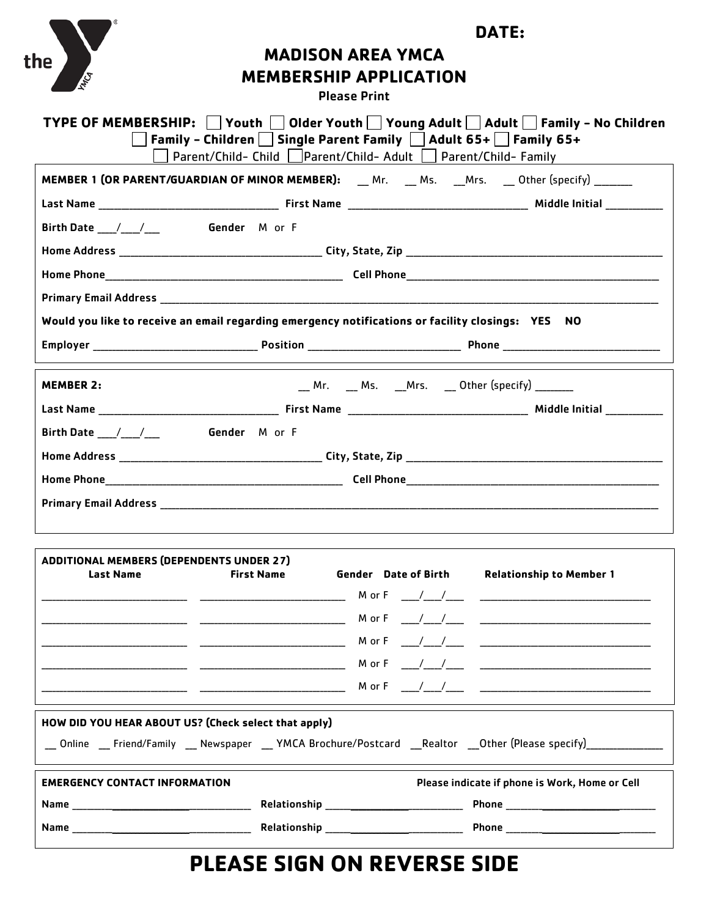| the                                                                 | DATE:<br><b>MADISON AREA YMCA</b><br><b>MEMBERSHIP APPLICATION</b><br><b>Please Print</b>                                                                                                                                                                                                                                             |  |                                                                                                                                                                                                               |
|---------------------------------------------------------------------|---------------------------------------------------------------------------------------------------------------------------------------------------------------------------------------------------------------------------------------------------------------------------------------------------------------------------------------|--|---------------------------------------------------------------------------------------------------------------------------------------------------------------------------------------------------------------|
|                                                                     | │ │Family - Children │ │ Single Parent Family │ │ Adult 65+ │ │ Family 65+<br>Parent/Child- Child     Parent/Child- Adult     Parent/Child- Family                                                                                                                                                                                    |  | TYPE OF MEMBERSHIP: □ Youth □ Older Youth □ Young Adult □ Adult □ Family - No Children                                                                                                                        |
|                                                                     | <b>MEMBER 1 (OR PARENT/GUARDIAN OF MINOR MEMBER):</b> Mr. Ms. Mrs. Other (specify) ______                                                                                                                                                                                                                                             |  |                                                                                                                                                                                                               |
|                                                                     |                                                                                                                                                                                                                                                                                                                                       |  |                                                                                                                                                                                                               |
| Birth Date / / / Gender M or F                                      |                                                                                                                                                                                                                                                                                                                                       |  |                                                                                                                                                                                                               |
|                                                                     |                                                                                                                                                                                                                                                                                                                                       |  |                                                                                                                                                                                                               |
|                                                                     |                                                                                                                                                                                                                                                                                                                                       |  | Home Phone <b>Example 2018</b> Cell Phone <b>Cell Phone Cell Phone Cell Phone Cell Phone Cell Phone Cell Phone Cell Phone Cell Phone Cell Phone Cell Phone Cell Phone Cell Phone Cell Phone Cell Phone Ce</b> |
|                                                                     |                                                                                                                                                                                                                                                                                                                                       |  |                                                                                                                                                                                                               |
|                                                                     | Would you like to receive an email regarding emergency notifications or facility closings: YES NO                                                                                                                                                                                                                                     |  |                                                                                                                                                                                                               |
|                                                                     |                                                                                                                                                                                                                                                                                                                                       |  |                                                                                                                                                                                                               |
|                                                                     |                                                                                                                                                                                                                                                                                                                                       |  |                                                                                                                                                                                                               |
| <b>MEMBER 2:</b>                                                    |                                                                                                                                                                                                                                                                                                                                       |  | __ Mr.   __ Ms.   __Mrs.   __ Other (specify) ________                                                                                                                                                        |
|                                                                     |                                                                                                                                                                                                                                                                                                                                       |  |                                                                                                                                                                                                               |
| Birth Date / / / Gender M or F                                      |                                                                                                                                                                                                                                                                                                                                       |  |                                                                                                                                                                                                               |
|                                                                     |                                                                                                                                                                                                                                                                                                                                       |  |                                                                                                                                                                                                               |
|                                                                     |                                                                                                                                                                                                                                                                                                                                       |  |                                                                                                                                                                                                               |
|                                                                     |                                                                                                                                                                                                                                                                                                                                       |  |                                                                                                                                                                                                               |
|                                                                     |                                                                                                                                                                                                                                                                                                                                       |  |                                                                                                                                                                                                               |
| <b>ADDITIONAL MEMBERS (DEPENDENTS UNDER 27)</b><br><b>Last Name</b> | <b>First Name</b>                                                                                                                                                                                                                                                                                                                     |  | Gender Date of Birth Relationship to Member 1                                                                                                                                                                 |
|                                                                     |                                                                                                                                                                                                                                                                                                                                       |  |                                                                                                                                                                                                               |
|                                                                     |                                                                                                                                                                                                                                                                                                                                       |  |                                                                                                                                                                                                               |
|                                                                     |                                                                                                                                                                                                                                                                                                                                       |  |                                                                                                                                                                                                               |
|                                                                     | $M$ or $F$ $\qquad$ $\qquad$ $\qquad$ $\qquad$ $\qquad$ $\qquad$ $\qquad$ $\qquad$ $\qquad$ $\qquad$ $\qquad$ $\qquad$ $\qquad$ $\qquad$ $\qquad$ $\qquad$ $\qquad$ $\qquad$ $\qquad$ $\qquad$ $\qquad$ $\qquad$ $\qquad$ $\qquad$ $\qquad$ $\qquad$ $\qquad$ $\qquad$ $\qquad$ $\qquad$ $\qquad$ $\qquad$ $\qquad$ $\qquad$ $\qquad$ |  |                                                                                                                                                                                                               |
|                                                                     |                                                                                                                                                                                                                                                                                                                                       |  |                                                                                                                                                                                                               |
|                                                                     | HOW DID YOU HEAR ABOUT US? (Check select that apply)                                                                                                                                                                                                                                                                                  |  |                                                                                                                                                                                                               |
|                                                                     |                                                                                                                                                                                                                                                                                                                                       |  | __ Online __ Friend/Family __ Newspaper __ YMCA Brochure/Postcard __Realtor __Other (Please specify)______________                                                                                            |
| <b>EMERGENCY CONTACT INFORMATION</b>                                |                                                                                                                                                                                                                                                                                                                                       |  | Please indicate if phone is Work, Home or Cell                                                                                                                                                                |
|                                                                     |                                                                                                                                                                                                                                                                                                                                       |  |                                                                                                                                                                                                               |
|                                                                     |                                                                                                                                                                                                                                                                                                                                       |  |                                                                                                                                                                                                               |

# **PLEASE SIGN ON REVERSE SIDE**